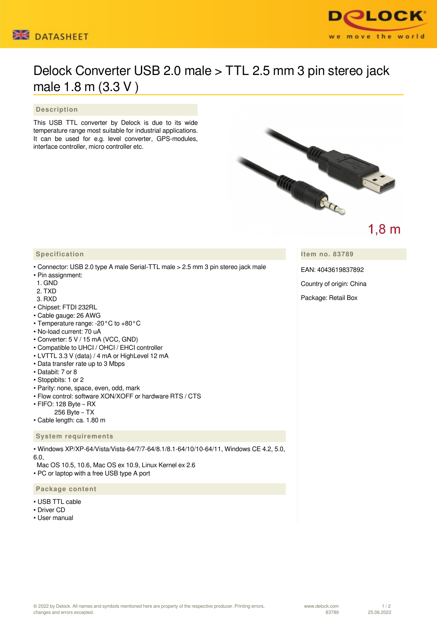



# Delock Converter USB 2.0 male > TTL 2.5 mm 3 pin stereo jack male 1.8 m (3.3 V )

#### **Description**

This USB TTL converter by Delock is due to its wide temperature range most suitable for industrial applications. It can be used for e.g. level converter, GPS-modules, interface controller, micro controller etc.



## $1,8 \text{ m}$

**Item no. 83789**

EAN: 4043619837892

Country of origin: China

Package: Retail Box

#### **Specification**

- Connector: USB 2.0 type A male Serial-TTL male > 2.5 mm 3 pin stereo jack male
- Pin assignment:
- 1. GND
- 2. TXD
- 3. RXD
- Chipset: FTDI 232RL
- Cable gauge: 26 AWG
- Temperature range: -20°C to +80°C
- No-load current: 70 uA
- Converter: 5 V / 15 mA (VCC, GND)
- Compatible to UHCI / OHCI / EHCI controller
- LVTTL 3.3 V (data) / 4 mA or HighLevel 12 mA
- Data transfer rate up to 3 Mbps
- Databit: 7 or 8
- Stoppbits: 1 or 2
- Parity: none, space, even, odd, mark
- Flow control: software XON/XOFF or hardware RTS / CTS
- FIFO: 128 Byte RX
- 256 Byte TX
- Cable length: ca. 1.80 m

#### **System requirements**

• Windows XP/XP-64/Vista/Vista-64/7/7-64/8.1/8.1-64/10/10-64/11, Windows CE 4.2, 5.0, 6.0,

 Mac OS 10.5, 10.6, Mac OS ex 10.9, Linux Kernel ex 2.6 • PC or laptop with a free USB type A port

#### **Package content**

- USB TTL cable
- Driver CD
- User manual